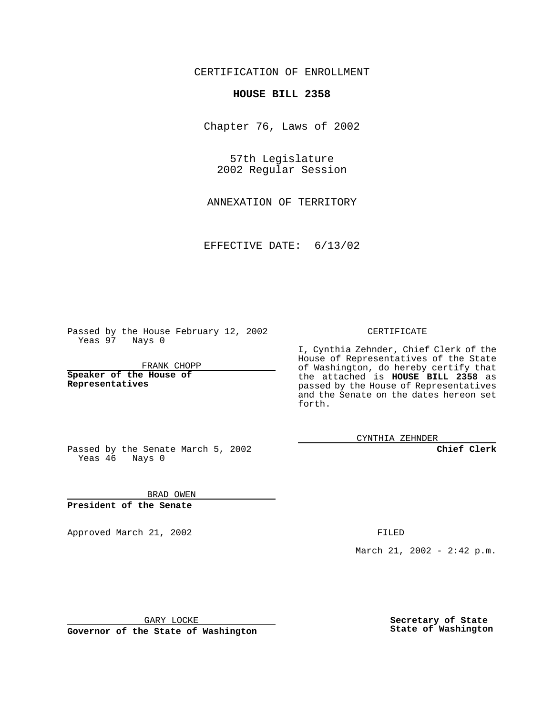CERTIFICATION OF ENROLLMENT

## **HOUSE BILL 2358**

Chapter 76, Laws of 2002

57th Legislature 2002 Regular Session

ANNEXATION OF TERRITORY

EFFECTIVE DATE: 6/13/02

Passed by the House February 12, 2002 Yeas 97 Nays 0

FRANK CHOPP

**Speaker of the House of Representatives**

CERTIFICATE

I, Cynthia Zehnder, Chief Clerk of the House of Representatives of the State of Washington, do hereby certify that the attached is **HOUSE BILL 2358** as passed by the House of Representatives and the Senate on the dates hereon set forth.

CYNTHIA ZEHNDER

**Chief Clerk**

Passed by the Senate March 5, 2002 Yeas 46 Nays 0

BRAD OWEN **President of the Senate**

Approved March 21, 2002 **FILED** 

March 21, 2002 - 2:42 p.m.

GARY LOCKE

**Governor of the State of Washington**

**Secretary of State State of Washington**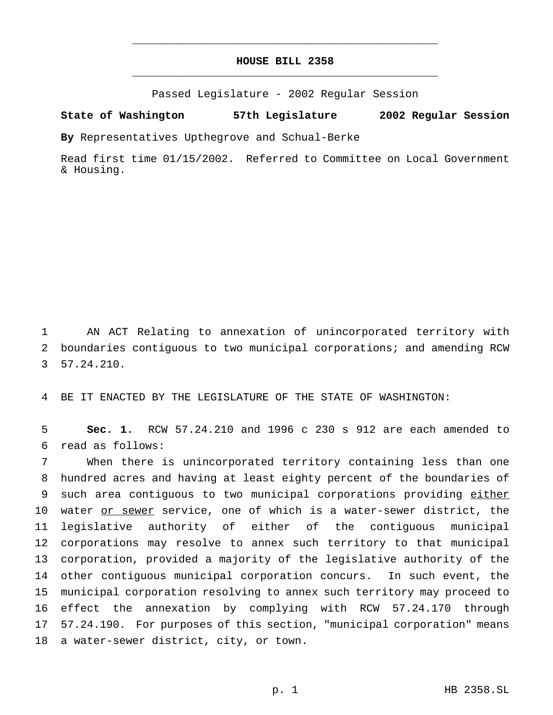## **HOUSE BILL 2358** \_\_\_\_\_\_\_\_\_\_\_\_\_\_\_\_\_\_\_\_\_\_\_\_\_\_\_\_\_\_\_\_\_\_\_\_\_\_\_\_\_\_\_\_\_\_\_

\_\_\_\_\_\_\_\_\_\_\_\_\_\_\_\_\_\_\_\_\_\_\_\_\_\_\_\_\_\_\_\_\_\_\_\_\_\_\_\_\_\_\_\_\_\_\_

Passed Legislature - 2002 Regular Session

## **State of Washington 57th Legislature 2002 Regular Session**

**By** Representatives Upthegrove and Schual-Berke

Read first time 01/15/2002. Referred to Committee on Local Government & Housing.

1 AN ACT Relating to annexation of unincorporated territory with 2 boundaries contiguous to two municipal corporations; and amending RCW 3 57.24.210.

4 BE IT ENACTED BY THE LEGISLATURE OF THE STATE OF WASHINGTON:

5 **Sec. 1.** RCW 57.24.210 and 1996 c 230 s 912 are each amended to 6 read as follows:

 When there is unincorporated territory containing less than one hundred acres and having at least eighty percent of the boundaries of 9 such area contiguous to two municipal corporations providing either 10 water or sewer service, one of which is a water-sewer district, the legislative authority of either of the contiguous municipal corporations may resolve to annex such territory to that municipal corporation, provided a majority of the legislative authority of the other contiguous municipal corporation concurs. In such event, the municipal corporation resolving to annex such territory may proceed to effect the annexation by complying with RCW 57.24.170 through 57.24.190. For purposes of this section, "municipal corporation" means a water-sewer district, city, or town.